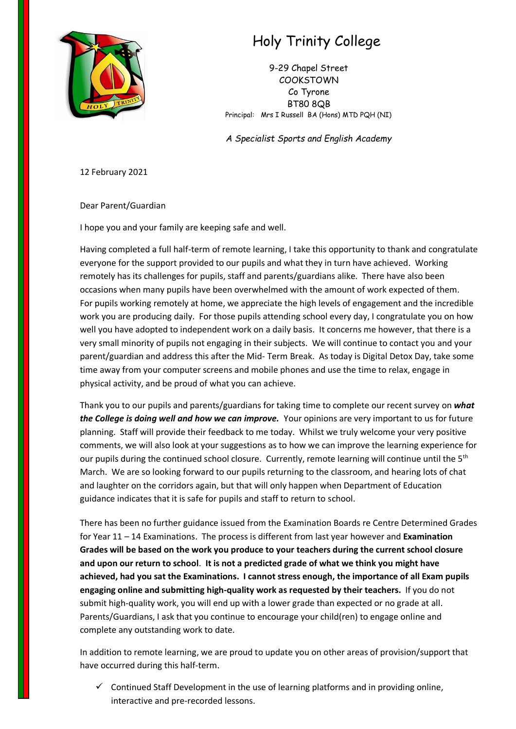

## Holy Trinity College

9-29 Chapel Street COOKSTOWN Co Tyrone BT80 8QB Principal: Mrs I Russell BA (Hons) MTD PQH (NI)

*A Specialist Sports and English Academy*

12 February 2021

Dear Parent/Guardian

I hope you and your family are keeping safe and well.

Having completed a full half-term of remote learning, I take this opportunity to thank and congratulate everyone for the support provided to our pupils and what they in turn have achieved. Working remotely has its challenges for pupils, staff and parents/guardians alike. There have also been occasions when many pupils have been overwhelmed with the amount of work expected of them. For pupils working remotely at home, we appreciate the high levels of engagement and the incredible work you are producing daily. For those pupils attending school every day, I congratulate you on how well you have adopted to independent work on a daily basis. It concerns me however, that there is a very small minority of pupils not engaging in their subjects. We will continue to contact you and your parent/guardian and address this after the Mid- Term Break. As today is Digital Detox Day, take some time away from your computer screens and mobile phones and use the time to relax, engage in physical activity, and be proud of what you can achieve.

Thank you to our pupils and parents/guardians for taking time to complete our recent survey on *what the College is doing well and how we can improve.* Your opinions are very important to us for future planning. Staff will provide their feedback to me today. Whilst we truly welcome your very positive comments, we will also look at your suggestions as to how we can improve the learning experience for our pupils during the continued school closure. Currently, remote learning will continue until the 5<sup>th</sup> March. We are so looking forward to our pupils returning to the classroom, and hearing lots of chat and laughter on the corridors again, but that will only happen when Department of Education guidance indicates that it is safe for pupils and staff to return to school.

There has been no further guidance issued from the Examination Boards re Centre Determined Grades for Year 11 – 14 Examinations. The process is different from last year however and **Examination Grades will be based on the work you produce to your teachers during the current school closure and upon our return to school**. **It is not a predicted grade of what we think you might have achieved, had you sat the Examinations. I cannot stress enough, the importance of all Exam pupils engaging online and submitting high-quality work as requested by their teachers.** If you do not submit high-quality work, you will end up with a lower grade than expected or no grade at all. Parents/Guardians, I ask that you continue to encourage your child(ren) to engage online and complete any outstanding work to date.

In addition to remote learning, we are proud to update you on other areas of provision/support that have occurred during this half-term.

 $\checkmark$  Continued Staff Development in the use of learning platforms and in providing online, interactive and pre-recorded lessons.